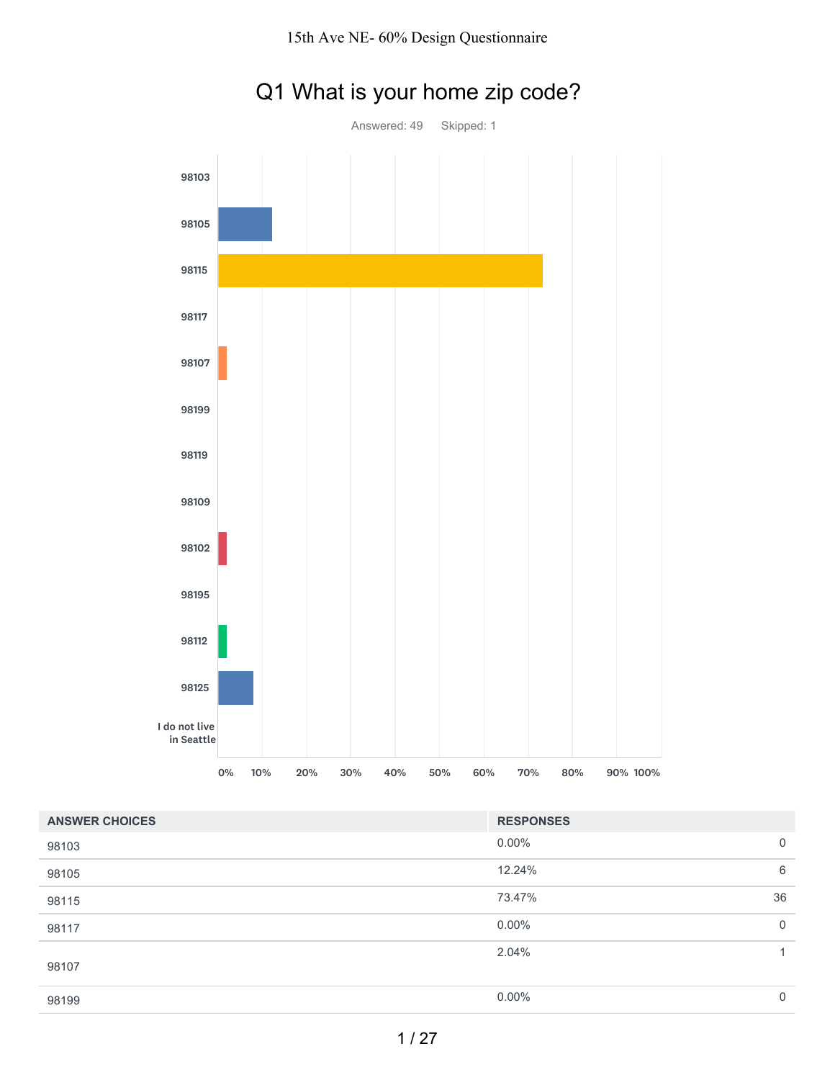

# Q1 What is your home zip code?

| <b>ANSWER CHOICES</b> | <b>RESPONSES</b> |             |
|-----------------------|------------------|-------------|
| 98103                 | $0.00\%$         | $\mathbf 0$ |
| 98105                 | 12.24%           | 6           |
| 98115                 | 73.47%           | 36          |
| 98117                 | $0.00\%$         | $\mathbf 0$ |
| 98107                 | 2.04%            | 1           |
| 98199                 | $0.00\%$         | 0           |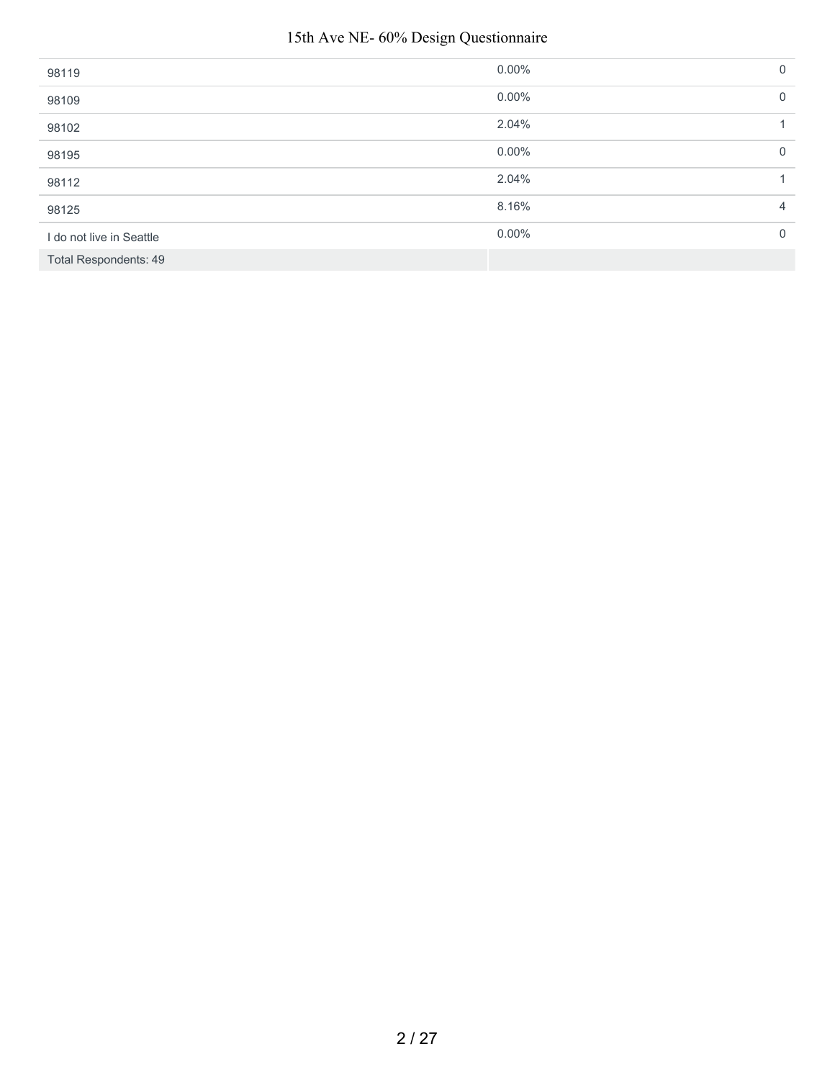#### 15th Ave NE- 60% Design Questionnaire

| 98119                        | $0.00\%$ | $\mathbf{0}$ |
|------------------------------|----------|--------------|
| 98109                        | $0.00\%$ | $\mathbf{0}$ |
| 98102                        | 2.04%    |              |
| 98195                        | $0.00\%$ | $\mathbf 0$  |
| 98112                        | 2.04%    |              |
| 98125                        | 8.16%    | 4            |
| I do not live in Seattle     | $0.00\%$ | $\mathbf{0}$ |
| <b>Total Respondents: 49</b> |          |              |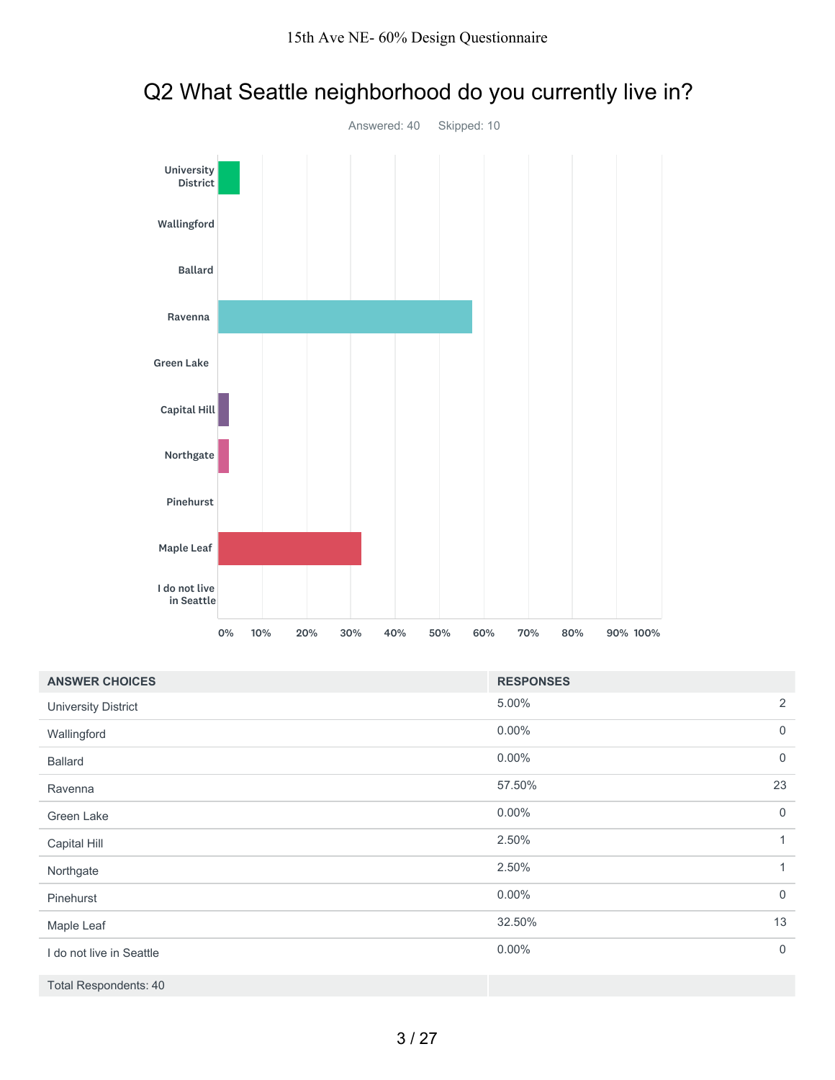

### Q2 What Seattle neighborhood do you currently live in?

| <b>ANSWER CHOICES</b>        | <b>RESPONSES</b>           |
|------------------------------|----------------------------|
| <b>University District</b>   | 2<br>5.00%                 |
| Wallingford                  | $0.00\%$<br>$\mathbf 0$    |
| <b>Ballard</b>               | $0.00\%$<br>$\mathbf 0$    |
| Ravenna                      | 23<br>57.50%               |
| Green Lake                   | $0.00\%$<br>$\mathbf 0$    |
| Capital Hill                 | 2.50%<br>1                 |
| Northgate                    | 2.50%<br>1                 |
| Pinehurst                    | $0.00\%$<br>$\mathbf 0$    |
| Maple Leaf                   | 13<br>32.50%               |
| I do not live in Seattle     | $0.00\%$<br>$\overline{0}$ |
| <b>Total Respondents: 40</b> |                            |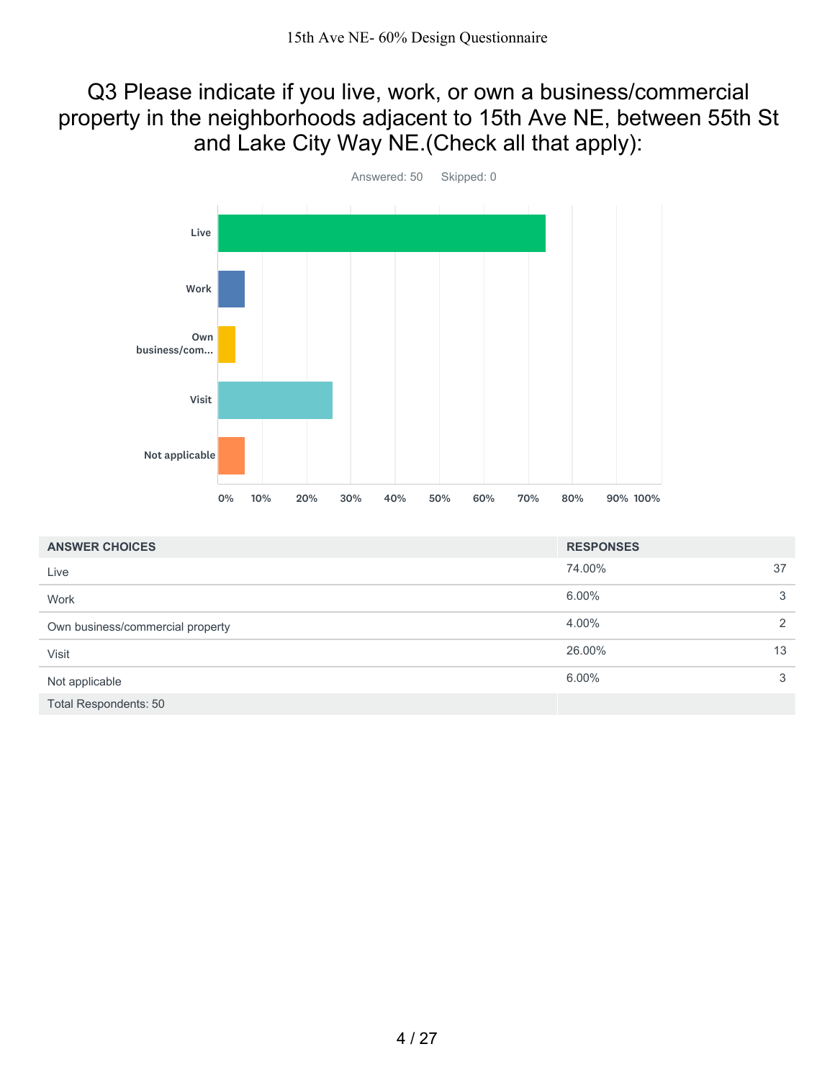#### Q3 Please indicate if you live, work, or own a business/commercial property in the neighborhoods adjacent to 15th Ave NE, between 55th St and Lake City Way NE.(Check all that apply):



| <b>ANSWER CHOICES</b>            | <b>RESPONSES</b> |    |
|----------------------------------|------------------|----|
| Live                             | 74.00%           | 37 |
| Work                             | 6.00%            | 3  |
| Own business/commercial property | 4.00%            | 2  |
| Visit                            | 26.00%           | 13 |
| Not applicable                   | 6.00%            | 3  |
| <b>Total Respondents: 50</b>     |                  |    |

4 / 27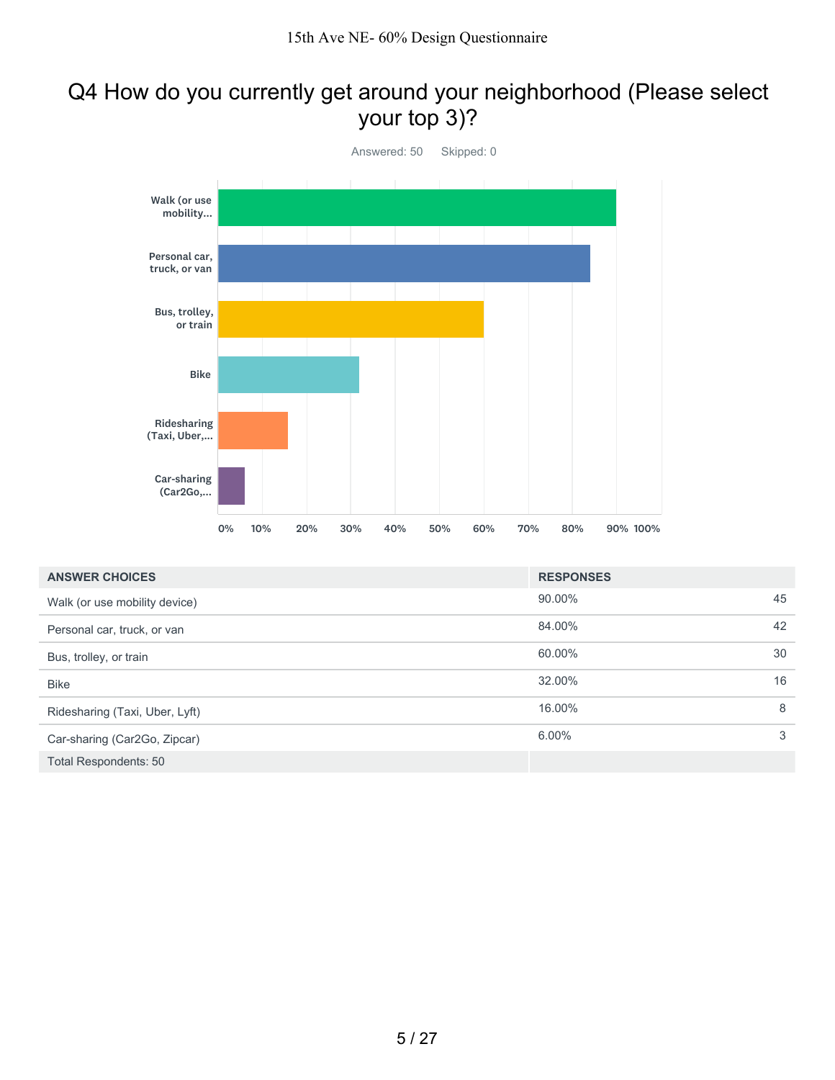#### Q4 How do you currently get around your neighborhood (Please select your top 3)?



| <b>ANSWER CHOICES</b>          | <b>RESPONSES</b> |    |
|--------------------------------|------------------|----|
| Walk (or use mobility device)  | 90.00%           | 45 |
| Personal car, truck, or van    | 84.00%           | 42 |
| Bus, trolley, or train         | 60.00%           | 30 |
| <b>Bike</b>                    | 32.00%           | 16 |
| Ridesharing (Taxi, Uber, Lyft) | 16.00%           | 8  |
| Car-sharing (Car2Go, Zipcar)   | 6.00%            | 3  |
| Total Respondents: 50          |                  |    |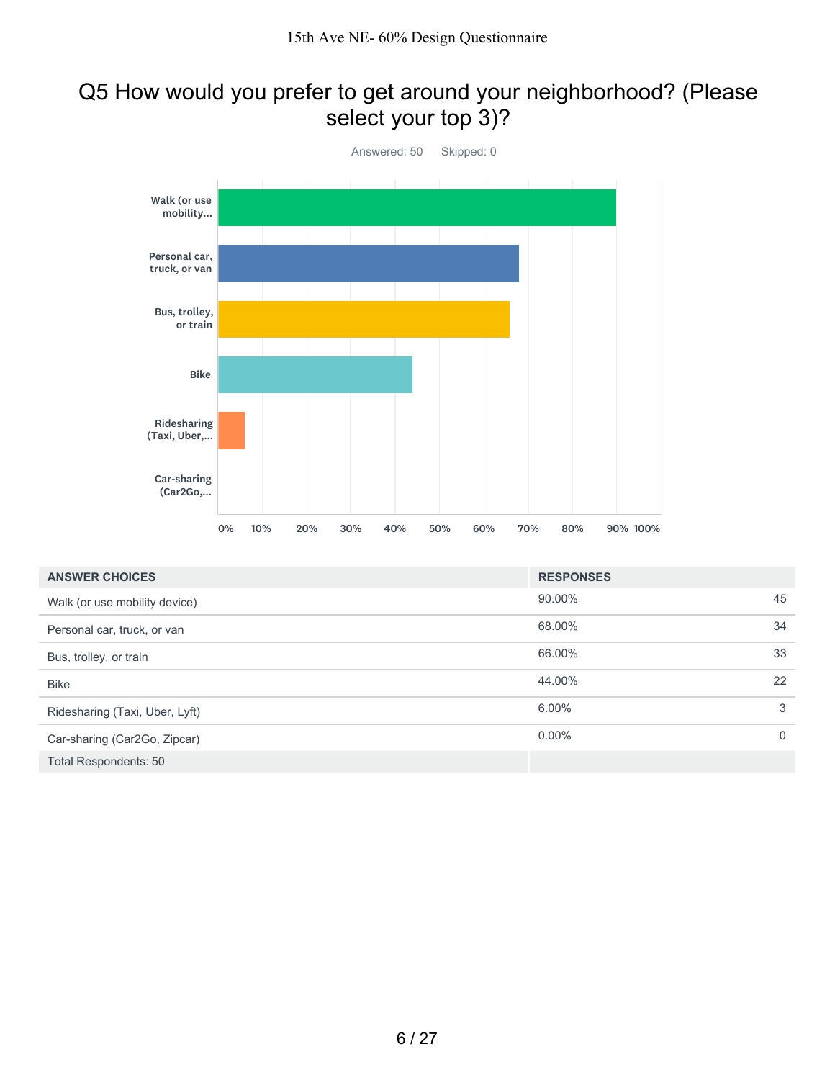#### Q5 How would you prefer to get around your neighborhood? (Please select your top 3)?



| <b>ANSWER CHOICES</b>          | <b>RESPONSES</b> |                |
|--------------------------------|------------------|----------------|
| Walk (or use mobility device)  | 90.00%           | 45             |
| Personal car, truck, or van    | 68.00%           | 34             |
| Bus, trolley, or train         | 66.00%           | 33             |
| <b>Bike</b>                    | 44.00%           | 22             |
| Ridesharing (Taxi, Uber, Lyft) | $6.00\%$         | 3              |
| Car-sharing (Car2Go, Zipcar)   | $0.00\%$         | $\overline{0}$ |
| <b>Total Respondents: 50</b>   |                  |                |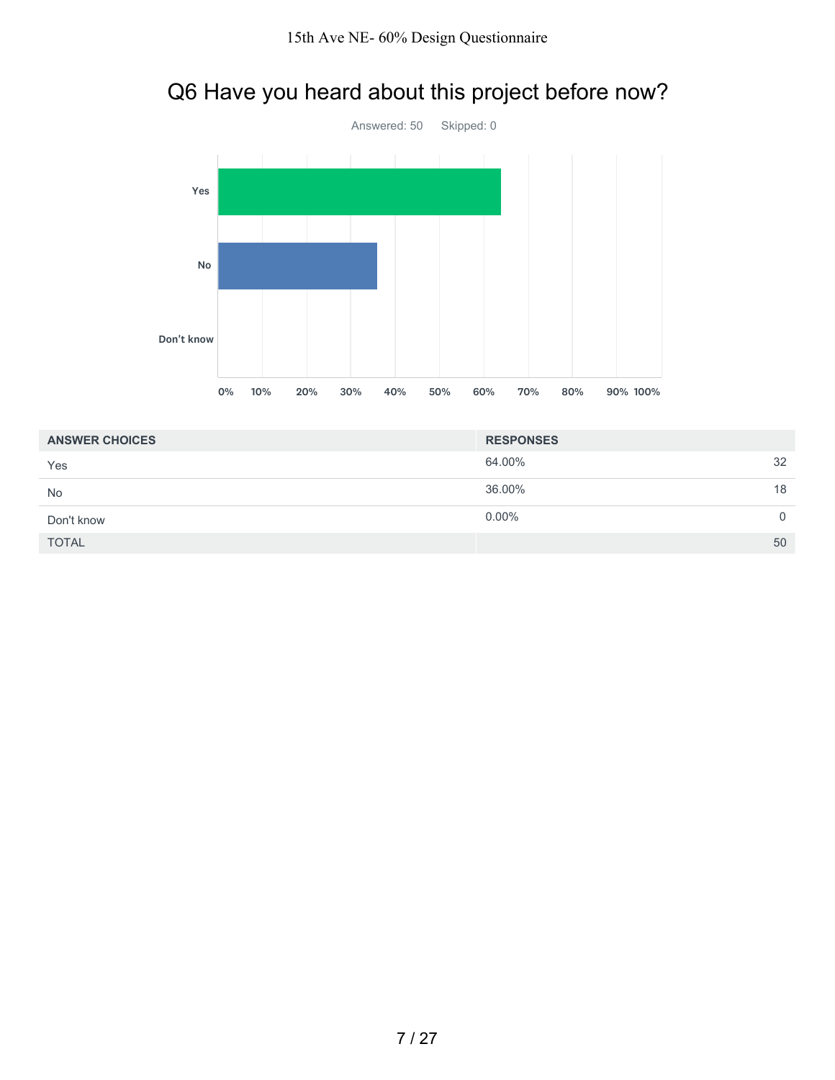# Q6 Have you heard about this project before now?



| <b>ANSWER CHOICES</b> | <b>RESPONSES</b> |          |
|-----------------------|------------------|----------|
| Yes                   | 64.00%           | 32       |
| <b>No</b>             | 36.00%           | 18       |
| Don't know            | $0.00\%$         | $\Omega$ |
| <b>TOTAL</b>          |                  | 50       |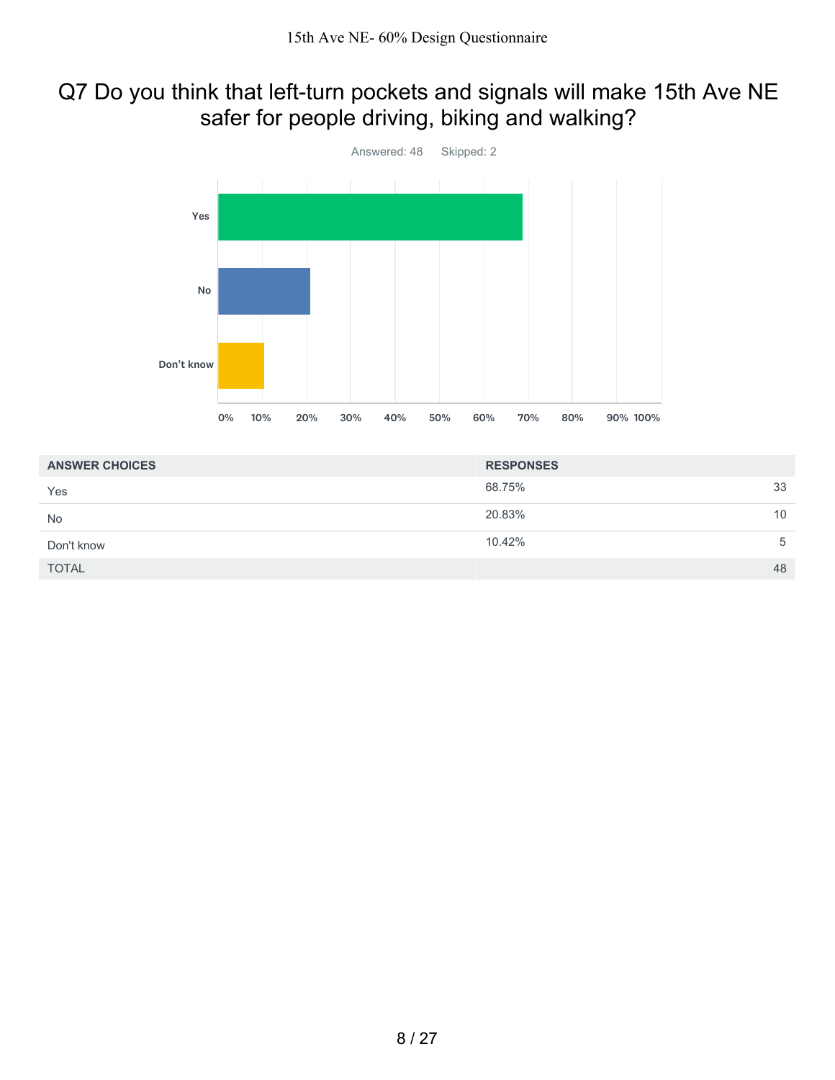### Q7 Do you think that left-turn pockets and signals will make 15th Ave NE safer for people driving, biking and walking?



| <b>ANSWER CHOICES</b> | <b>RESPONSES</b> |    |
|-----------------------|------------------|----|
| Yes                   | 68.75%           | 33 |
| <b>No</b>             | 20.83%           | 10 |
| Don't know            | 10.42%           | 5  |
| <b>TOTAL</b>          |                  | 48 |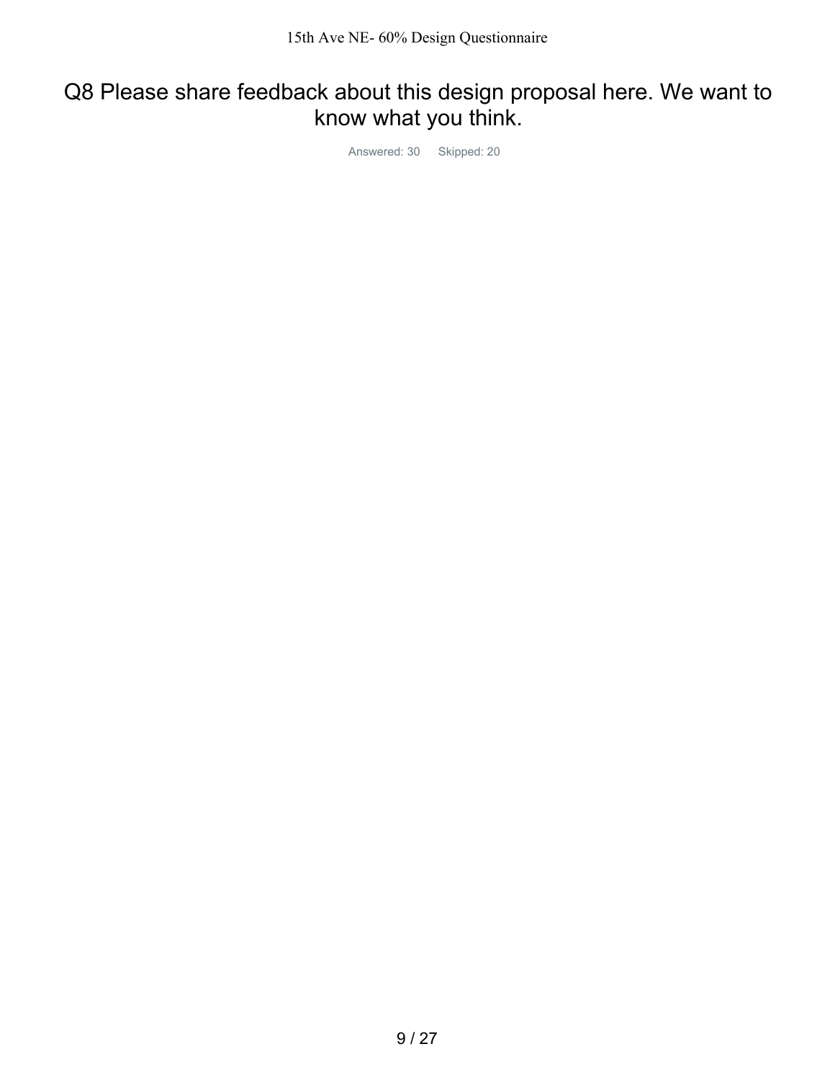## Q8 Please share feedback about this design proposal here. We want to know what you think.

Answered: 30 Skipped: 20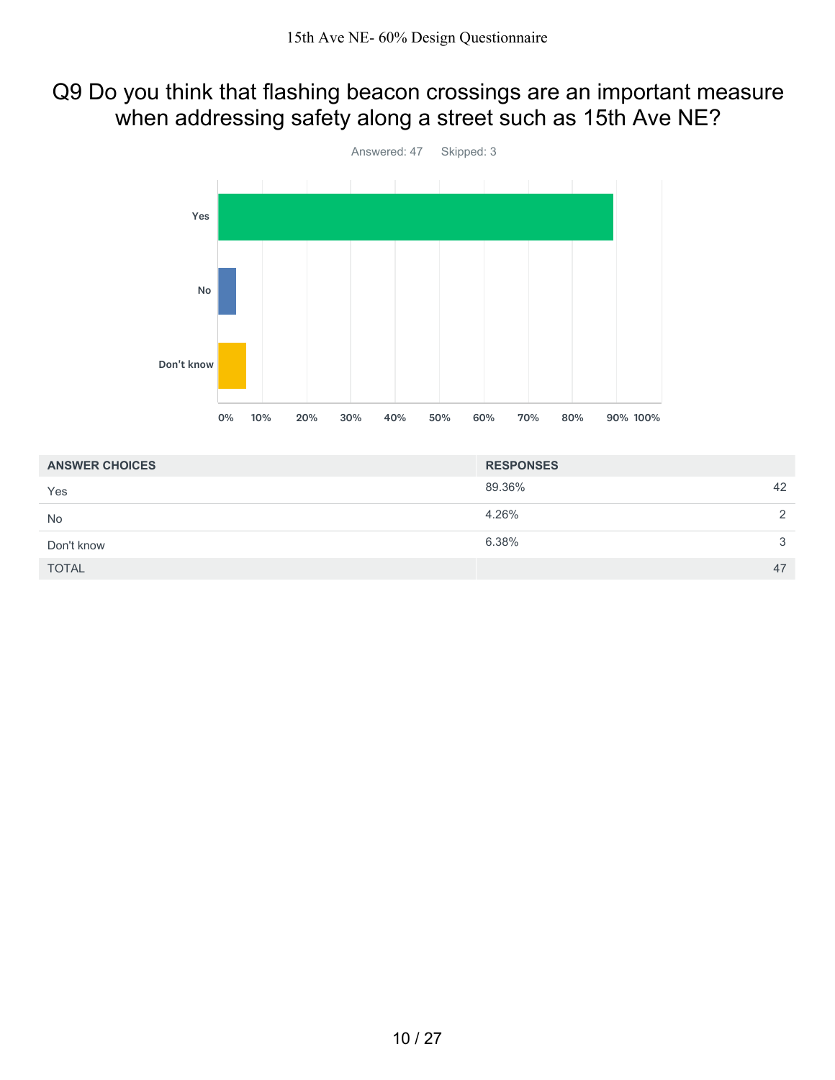#### Q9 Do you think that flashing beacon crossings are an important measure when addressing safety along a street such as 15th Ave NE?



| <b>ANSWER CHOICES</b> | <b>RESPONSES</b> |    |
|-----------------------|------------------|----|
| Yes                   | 89.36%           | 42 |
| <b>No</b>             | 4.26%            | 2  |
| Don't know            | 6.38%            | 3  |
| <b>TOTAL</b>          |                  | 47 |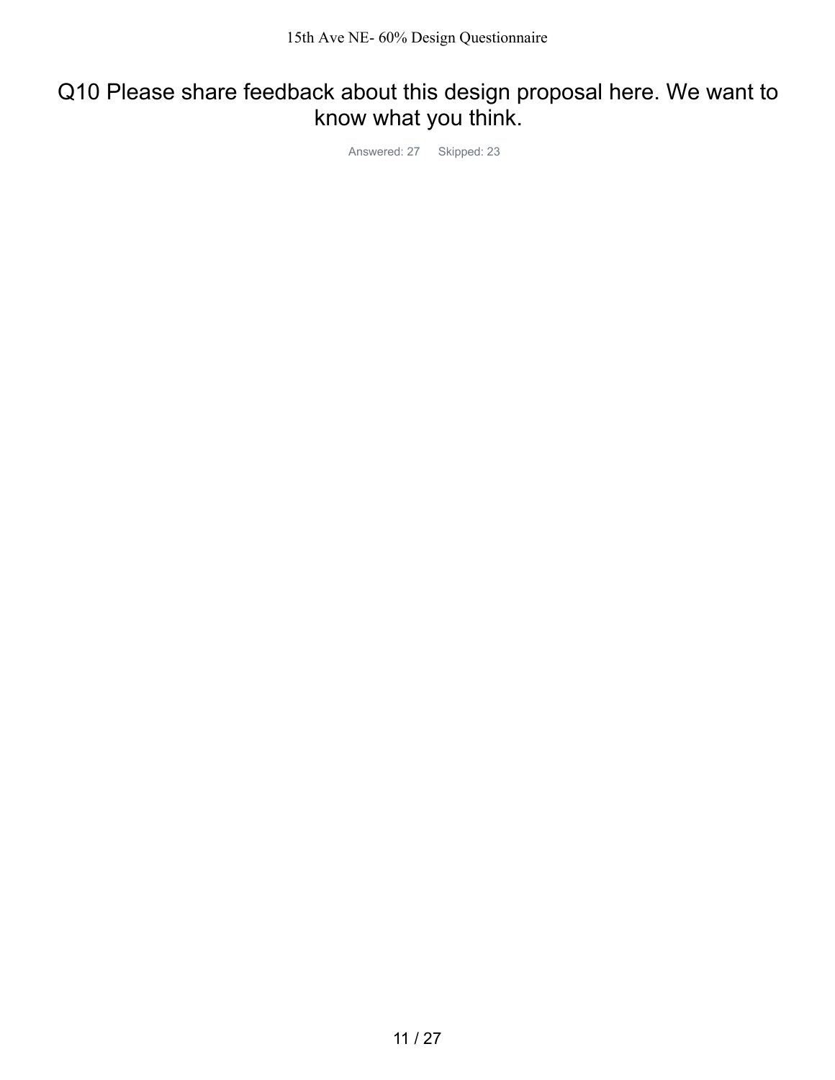## Q10 Please share feedback about this design proposal here. We want to know what you think.

Answered: 27 Skipped: 23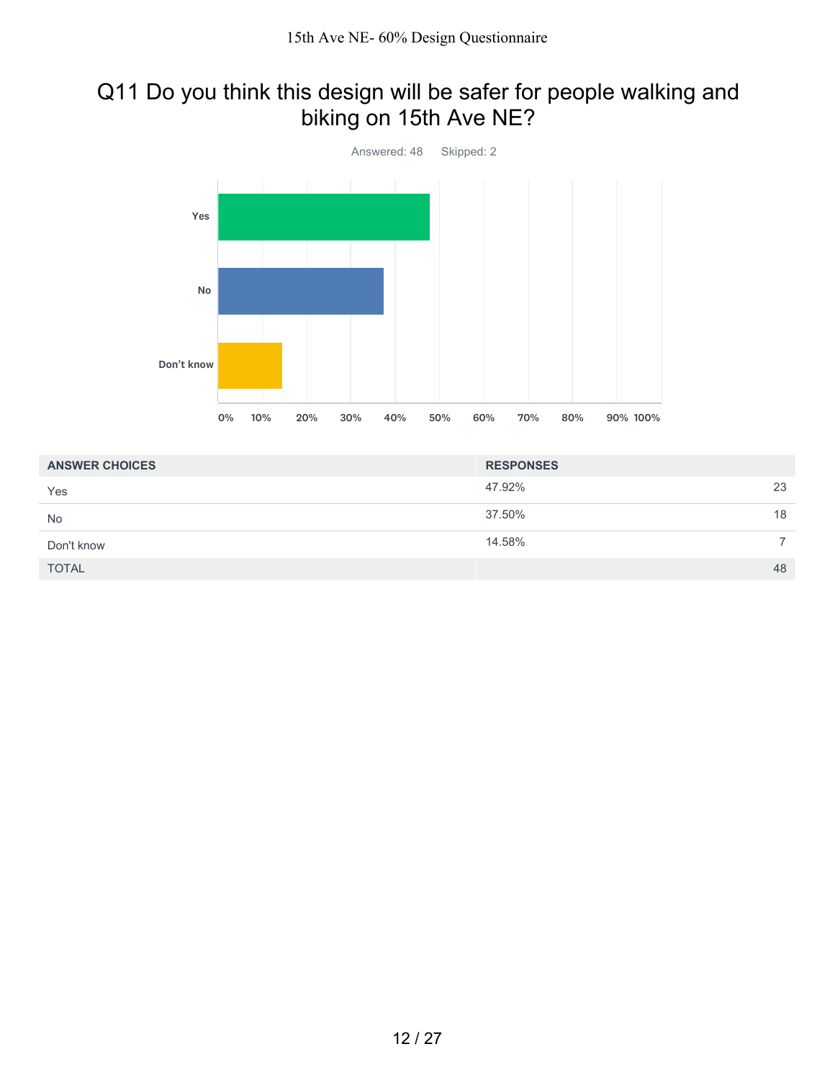### Q11 Do you think this design will be safer for people walking and biking on 15th Ave NE?



| <b>ANSWER CHOICES</b> | <b>RESPONSES</b> |    |
|-----------------------|------------------|----|
| Yes                   | 47.92%           | 23 |
| No                    | 37.50%           | 18 |
| Don't know            | 14.58%           |    |
| <b>TOTAL</b>          |                  | 48 |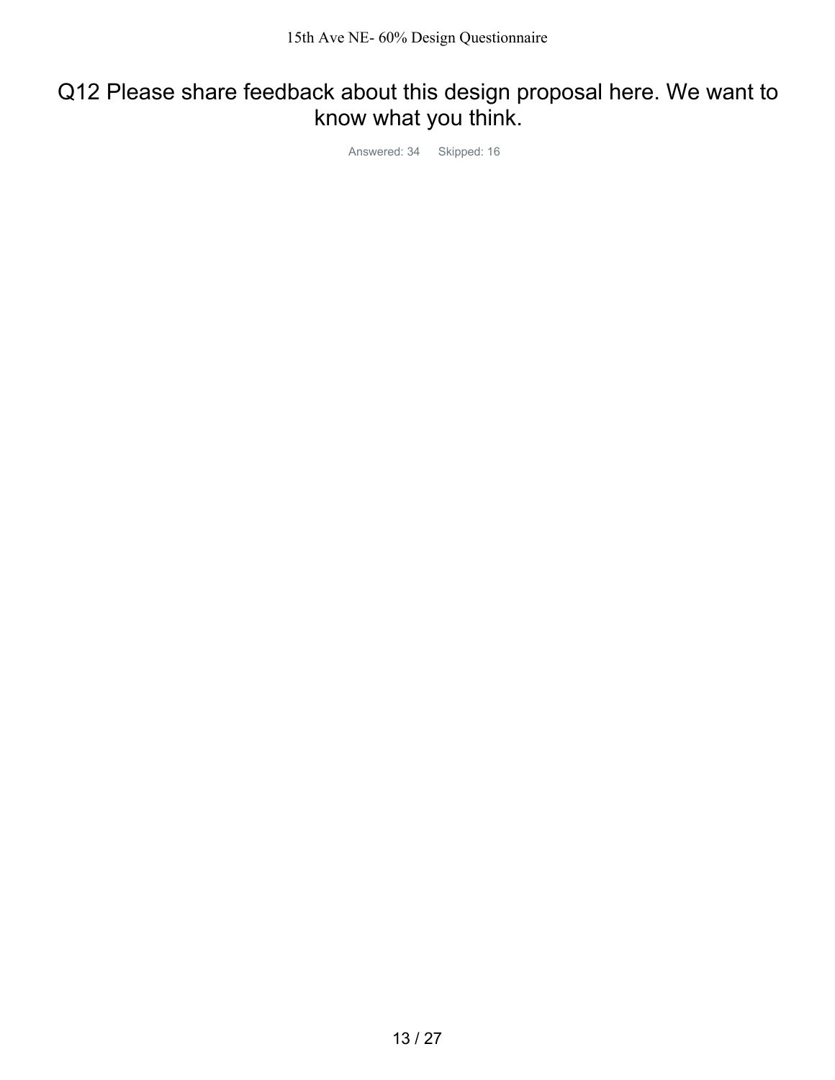## Q12 Please share feedback about this design proposal here. We want to know what you think.

Answered: 34 Skipped: 16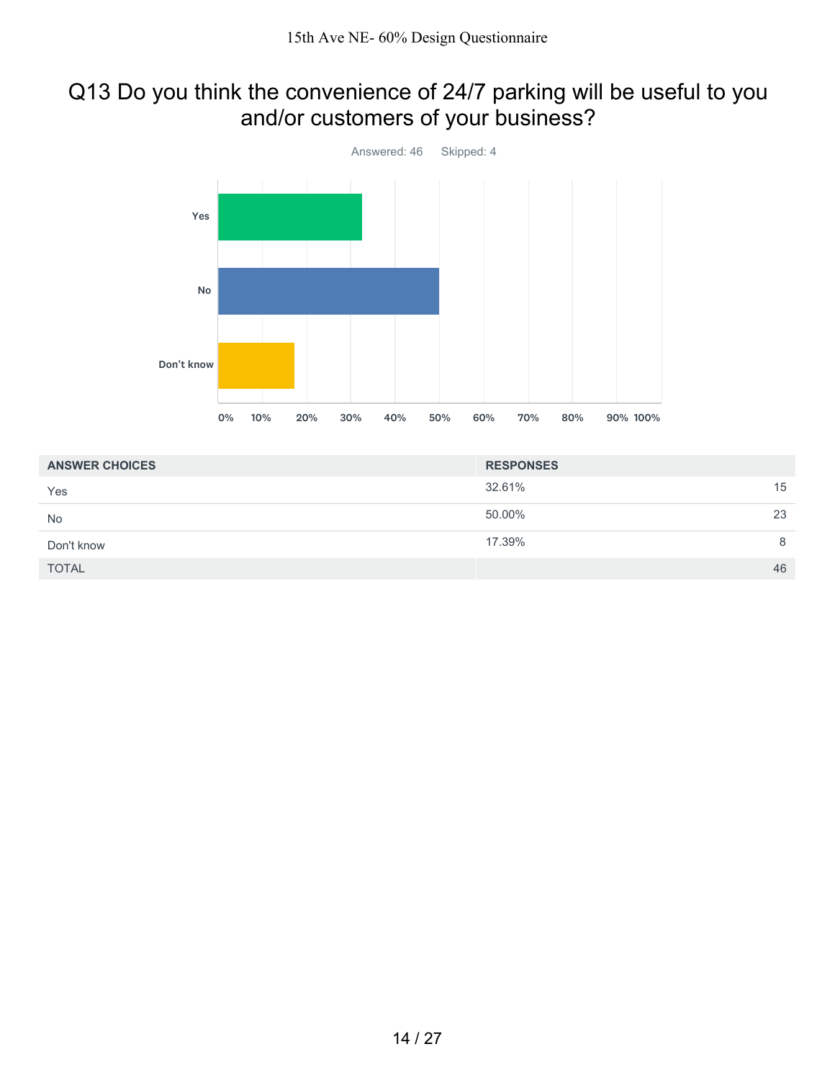### Q13 Do you think the convenience of 24/7 parking will be useful to you and/or customers of your business?



| <b>ANSWER CHOICES</b> | <b>RESPONSES</b> |    |
|-----------------------|------------------|----|
| Yes                   | 32.61%           | 15 |
| <b>No</b>             | 50.00%           | 23 |
| Don't know            | 17.39%           | 8  |
| <b>TOTAL</b>          |                  | 46 |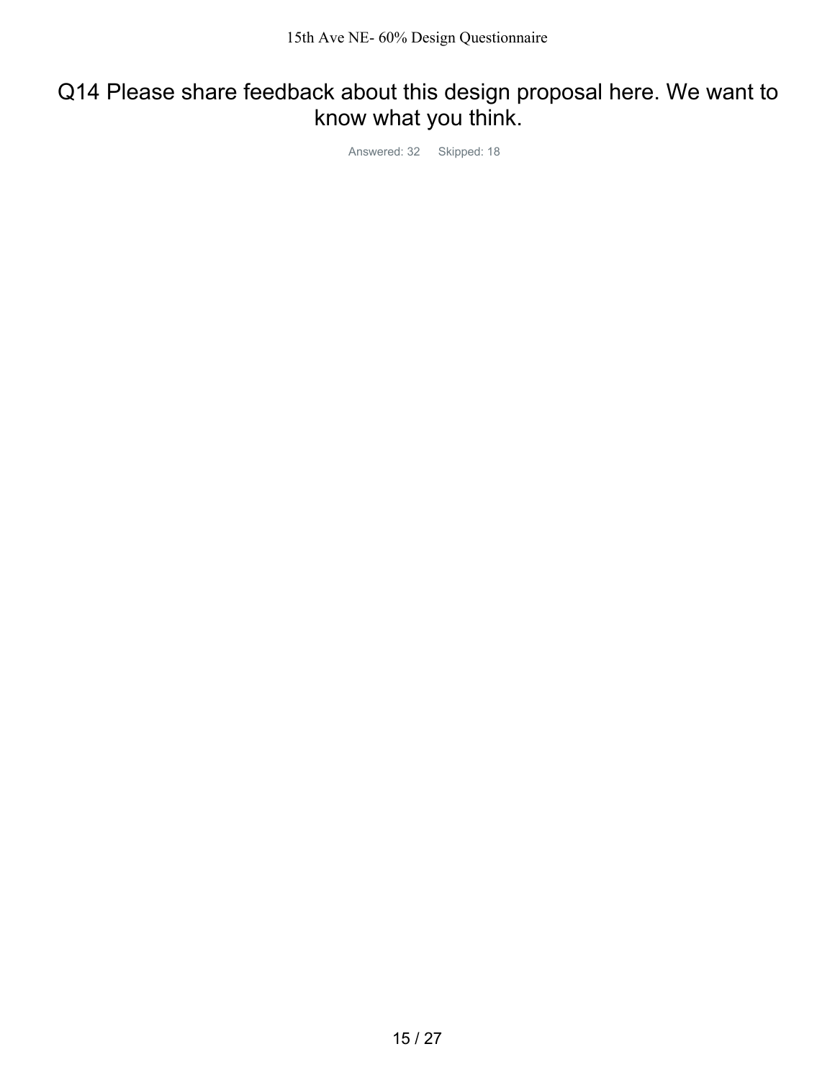## Q14 Please share feedback about this design proposal here. We want to know what you think.

Answered: 32 Skipped: 18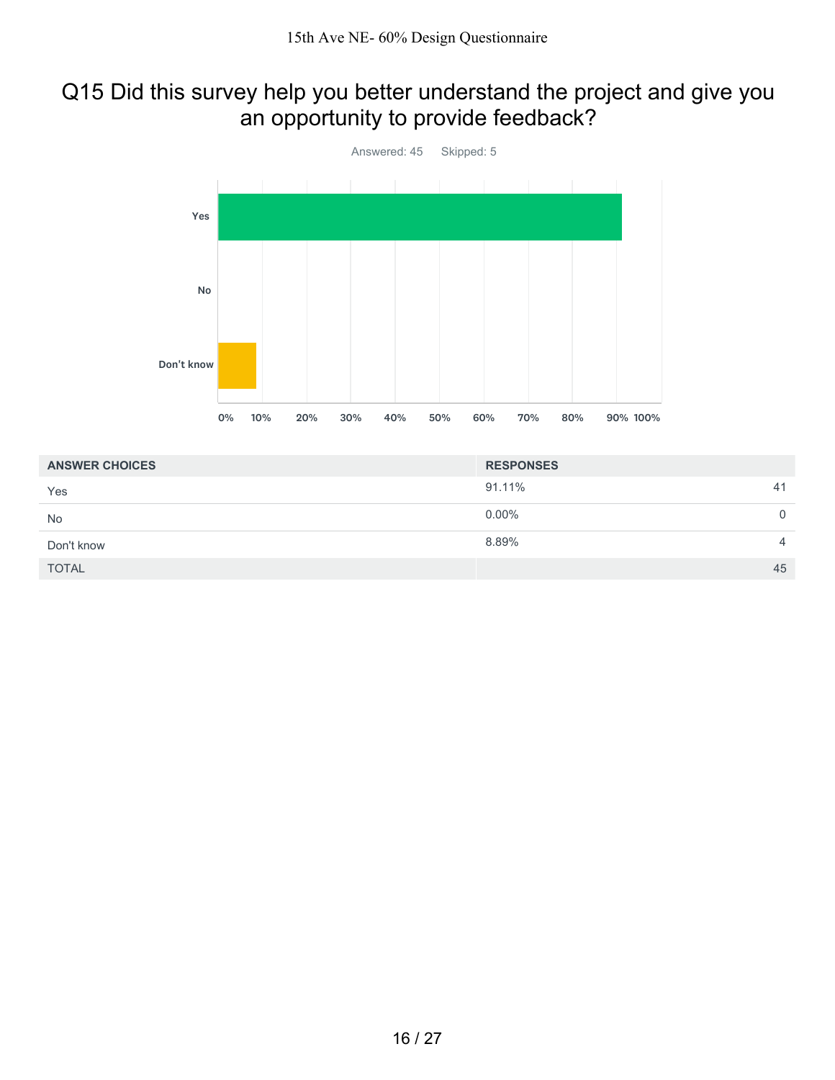### Q15 Did this survey help you better understand the project and give you an opportunity to provide feedback?



| <b>ANSWER CHOICES</b> | <b>RESPONSES</b> |             |
|-----------------------|------------------|-------------|
| Yes                   | 91.11%<br>41     |             |
| <b>No</b>             | $0.00\%$         | $\mathbf 0$ |
| Don't know            | 8.89%<br>4       |             |
| <b>TOTAL</b>          | 45               |             |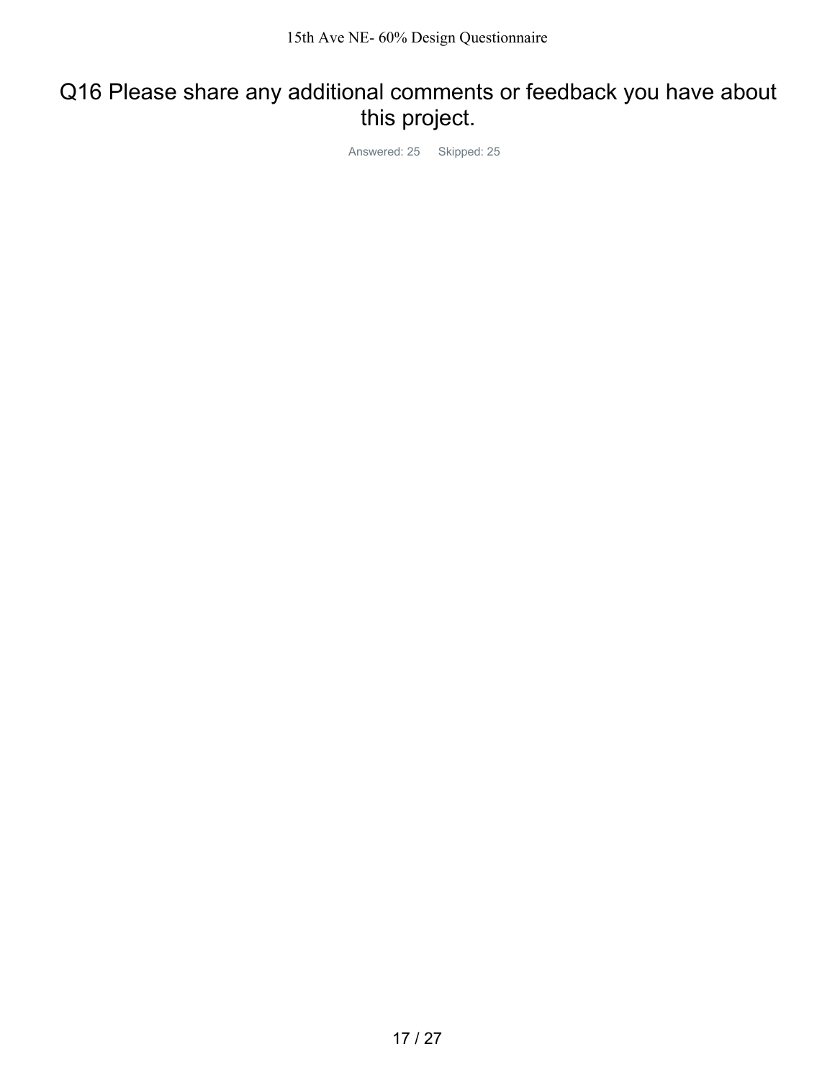## Q16 Please share any additional comments or feedback you have about this project.

Answered: 25 Skipped: 25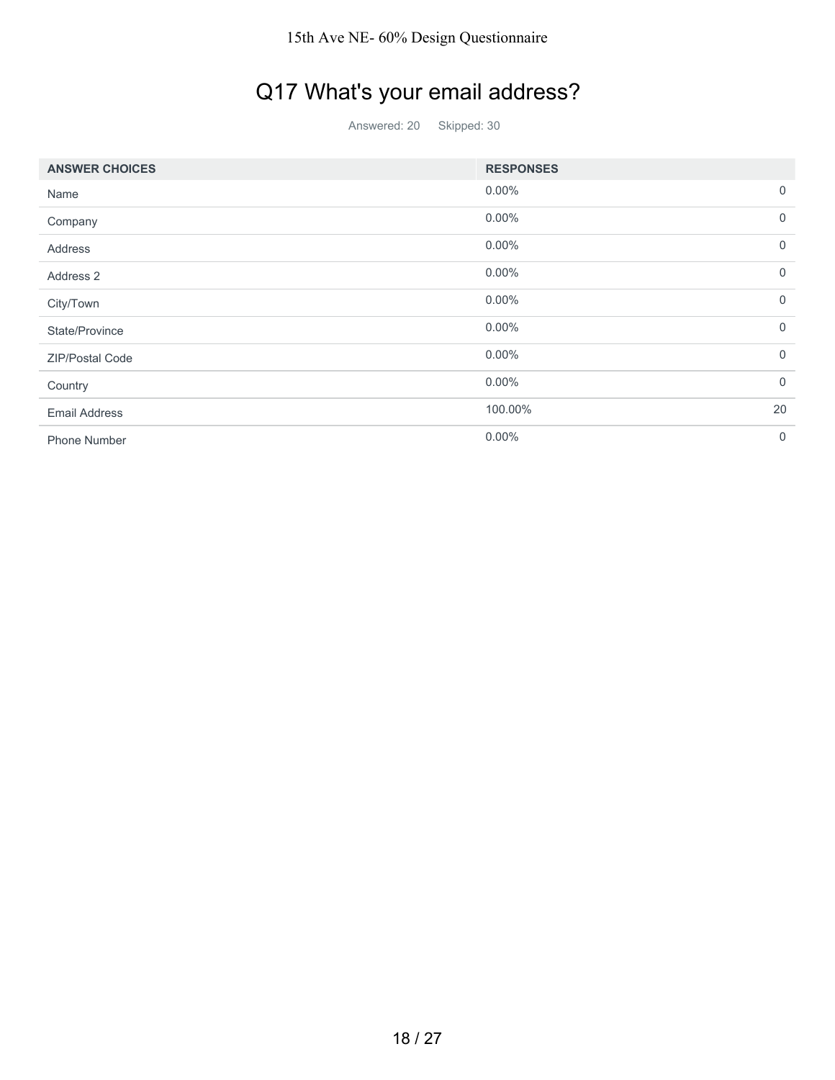# Q17 What's your email address?

Answered: 20 Skipped: 30

| <b>ANSWER CHOICES</b> | <b>RESPONSES</b> |             |
|-----------------------|------------------|-------------|
| Name                  | $0.00\%$         | $\mathbf 0$ |
| Company               | $0.00\%$         | $\mathbf 0$ |
| Address               | $0.00\%$         | $\Omega$    |
| Address 2             | $0.00\%$         | $\mathbf 0$ |
| City/Town             | $0.00\%$         | $\Omega$    |
| State/Province        | $0.00\%$         | $\mathbf 0$ |
| ZIP/Postal Code       | $0.00\%$         | $\Omega$    |
| Country               | $0.00\%$         | $\mathbf 0$ |
| <b>Email Address</b>  | 100.00%          | 20          |
| <b>Phone Number</b>   | $0.00\%$         | $\Omega$    |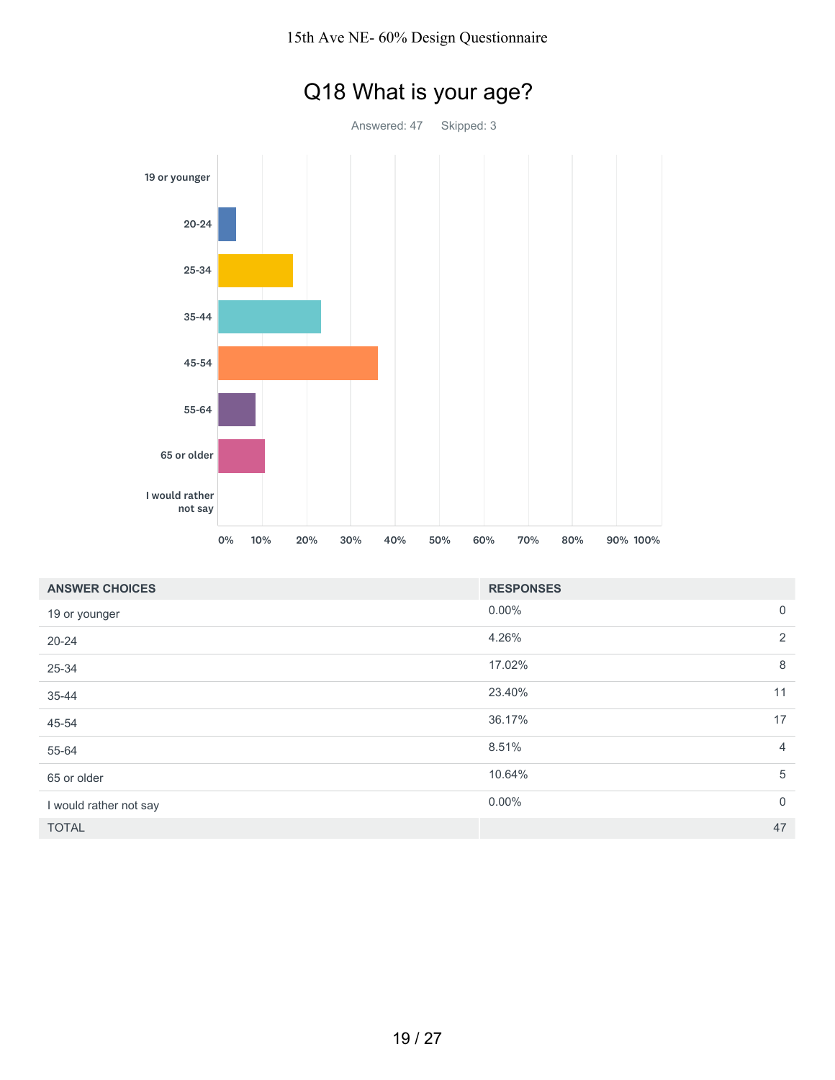

# Q18 What is your age?

| <b>ANSWER CHOICES</b>  | <b>RESPONSES</b> |                |
|------------------------|------------------|----------------|
| 19 or younger          | $0.00\%$         | $\overline{0}$ |
| $20 - 24$              | 4.26%            | 2              |
| 25-34                  | 17.02%           | 8              |
| 35-44                  | 23.40%           | 11             |
| 45-54                  | 36.17%           | 17             |
| 55-64                  | 8.51%            | $\overline{4}$ |
| 65 or older            | 10.64%           | 5              |
| I would rather not say | $0.00\%$         | $\overline{0}$ |
| <b>TOTAL</b>           |                  | 47             |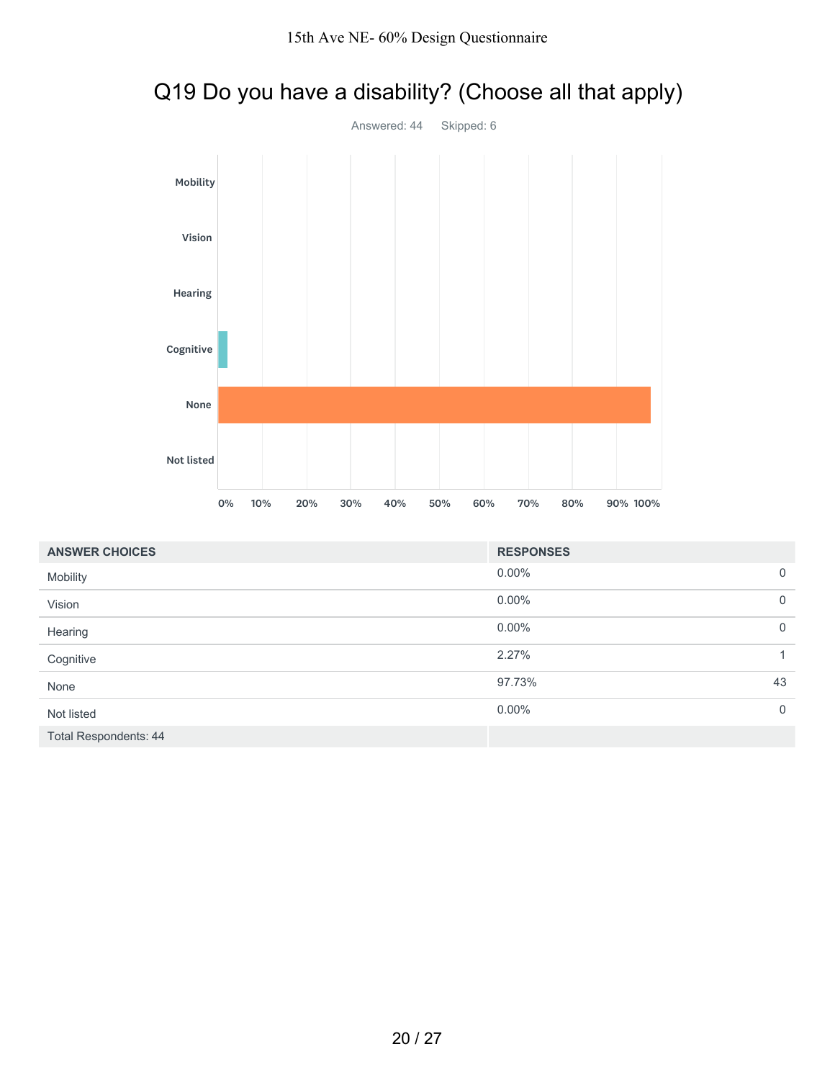



| <b>ANSWER CHOICES</b>        | <b>RESPONSES</b>        |              |
|------------------------------|-------------------------|--------------|
| Mobility                     | $0.00\%$<br>$\mathbf 0$ |              |
| Vision                       | $0.00\%$<br>$\mathbf 0$ |              |
| Hearing                      | $0.00\%$<br>$\mathbf 0$ |              |
| Cognitive                    | 2.27%                   | $\mathbf{1}$ |
| None                         | 43<br>97.73%            |              |
| Not listed                   | $0.00\%$<br>$\mathbf 0$ |              |
| <b>Total Respondents: 44</b> |                         |              |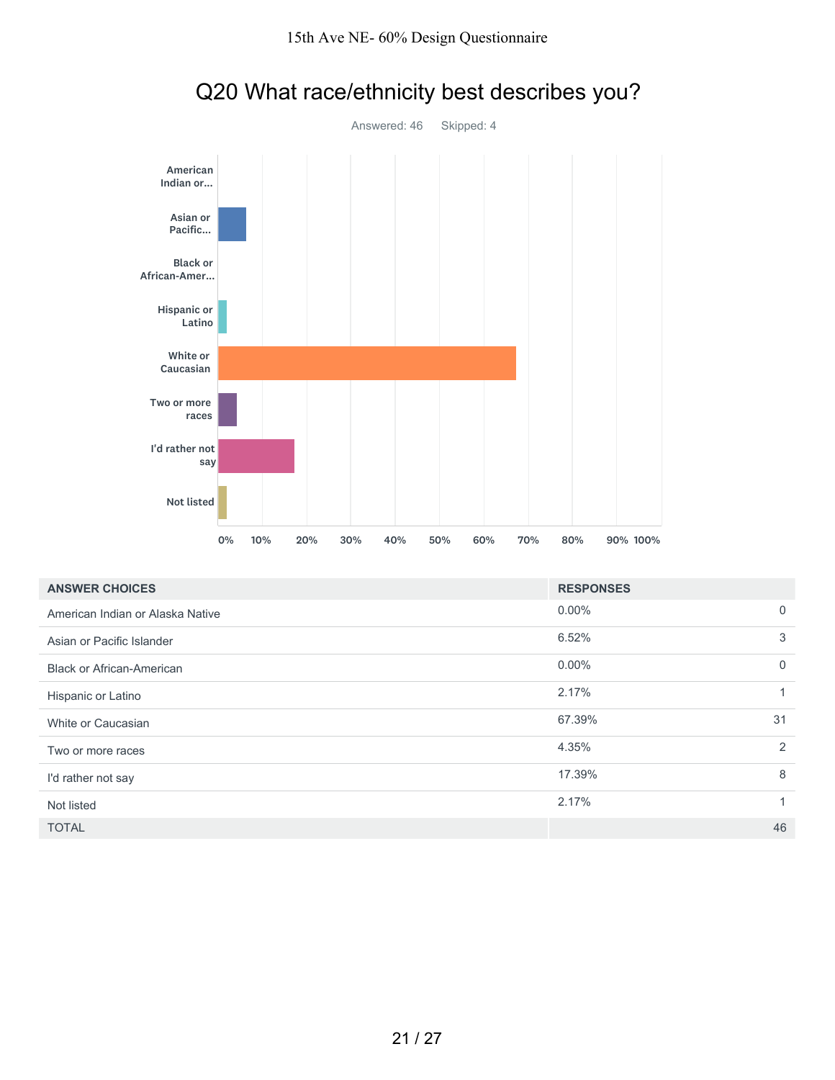

# Q20 What race/ethnicity best describes you?

| <b>ANSWER CHOICES</b>            | <b>RESPONSES</b>           |  |
|----------------------------------|----------------------------|--|
| American Indian or Alaska Native | $0.00\%$<br>$\overline{0}$ |  |
| Asian or Pacific Islander        | 6.52%<br>3                 |  |
| <b>Black or African-American</b> | $0.00\%$<br>$\overline{0}$ |  |
| Hispanic or Latino               | 2.17%<br>1                 |  |
| White or Caucasian               | 67.39%<br>31               |  |
| Two or more races                | 2<br>4.35%                 |  |
| I'd rather not say               | 17.39%<br>8                |  |
| Not listed                       | 2.17%                      |  |
| <b>TOTAL</b>                     | 46                         |  |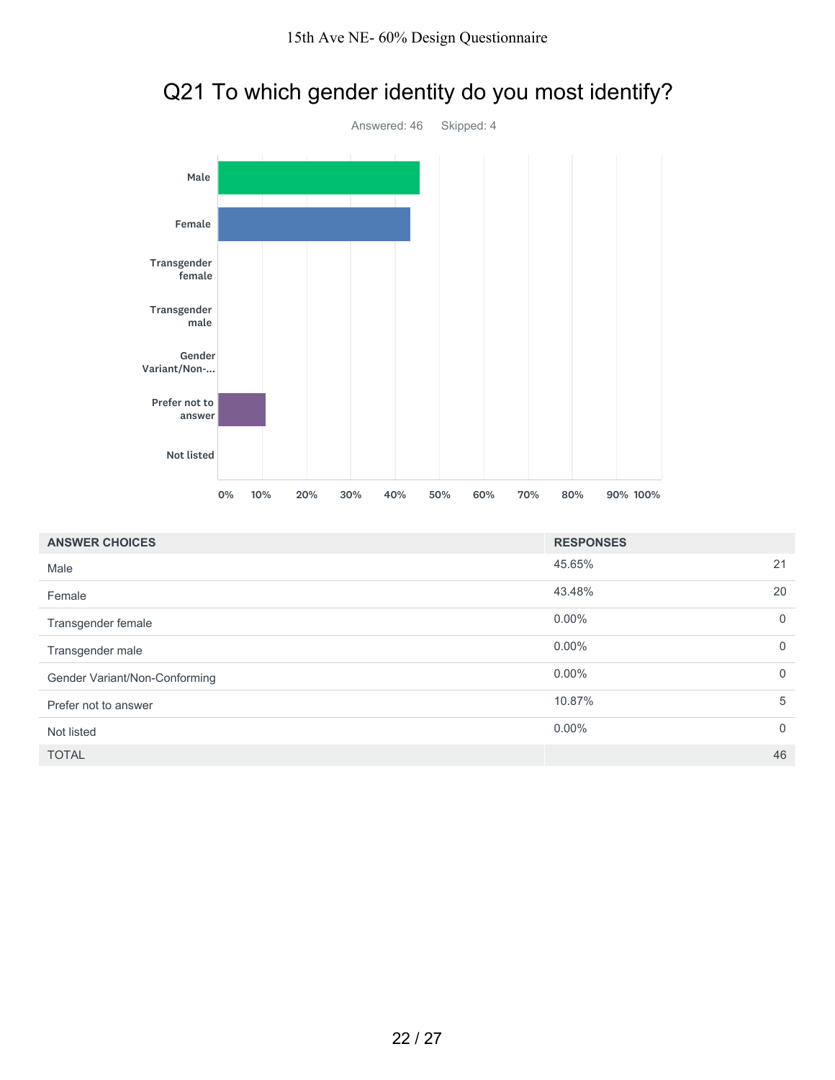

## Q21 To which gender identity do you most identify?

| <b>ANSWER CHOICES</b>         | <b>RESPONSES</b> |                |
|-------------------------------|------------------|----------------|
| Male                          | 45.65%           | 21             |
| Female                        | 43.48%           | 20             |
| Transgender female            | $0.00\%$         | $\overline{0}$ |
| Transgender male              | $0.00\%$         | $\mathbf 0$    |
| Gender Variant/Non-Conforming | $0.00\%$         | $\mathbf 0$    |
| Prefer not to answer          | 10.87%           | 5              |
| Not listed                    | $0.00\%$         | $\mathbf 0$    |
| <b>TOTAL</b>                  |                  | 46             |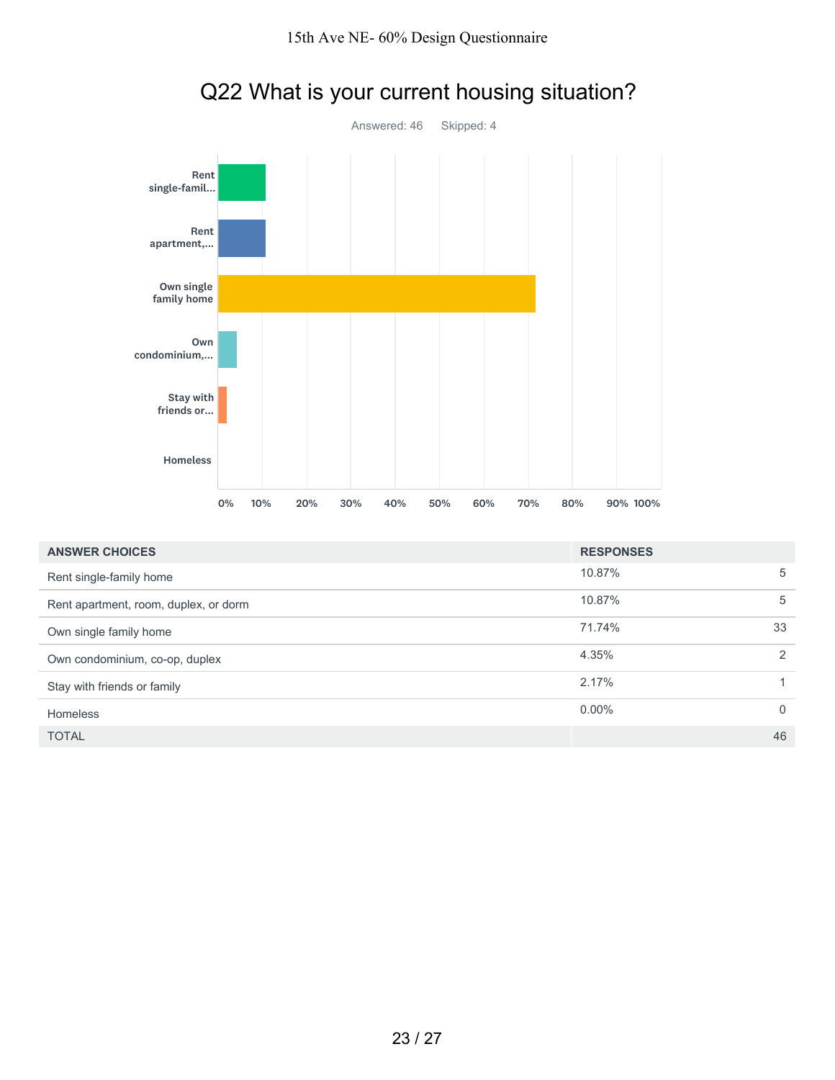

# Q22 What is your current housing situation?

| <b>ANSWER CHOICES</b>                 | <b>RESPONSES</b> |          |
|---------------------------------------|------------------|----------|
| Rent single-family home               | 10.87%           | 5        |
| Rent apartment, room, duplex, or dorm | 10.87%           | 5        |
| Own single family home                | 71.74%           | 33       |
| Own condominium, co-op, duplex        | 4.35%            | 2        |
| Stay with friends or family           | 2.17%            | 1        |
| <b>Homeless</b>                       | $0.00\%$         | $\Omega$ |
| <b>TOTAL</b>                          |                  | 46       |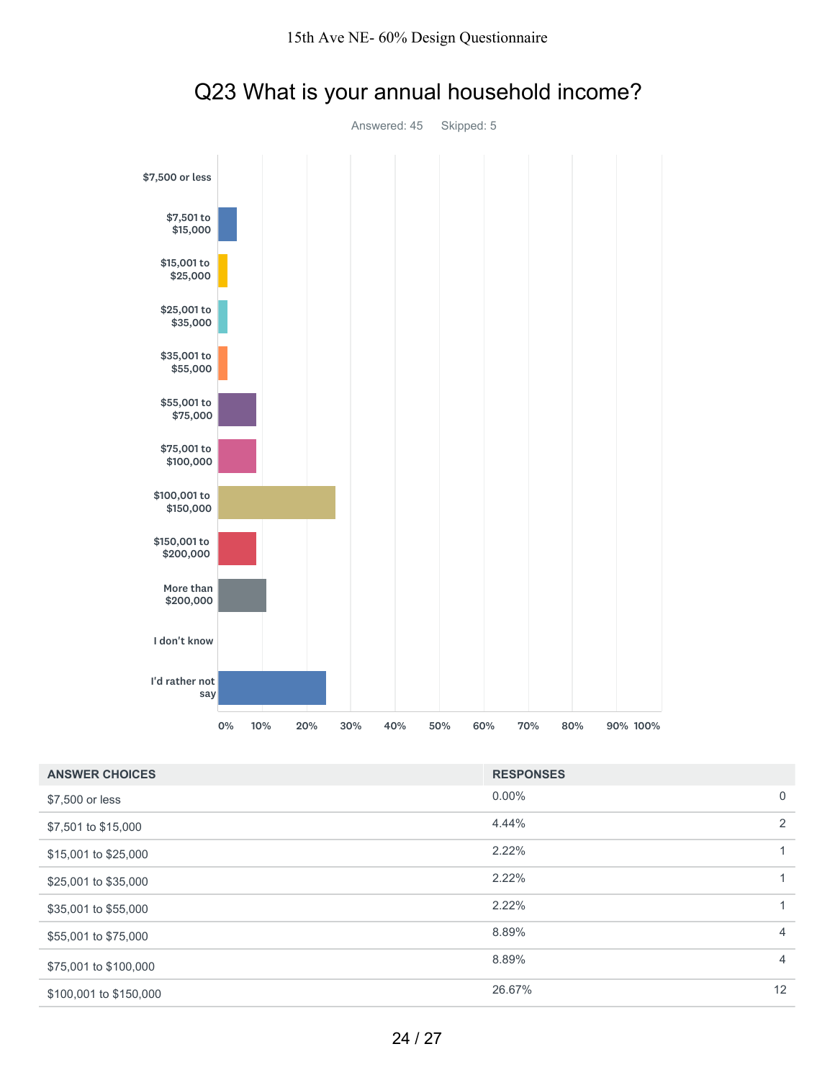

# Q23 What is your annual household income?

| <b>ANSWER CHOICES</b>  | <b>RESPONSES</b> |                |
|------------------------|------------------|----------------|
| \$7,500 or less        | $0.00\%$         | $\mathbf 0$    |
| \$7,501 to \$15,000    | 4.44%            | 2              |
| \$15,001 to \$25,000   | 2.22%            |                |
| \$25,001 to \$35,000   | 2.22%            | 1              |
| \$35,001 to \$55,000   | 2.22%            | 1              |
| \$55,001 to \$75,000   | 8.89%            | $\overline{4}$ |
| \$75,001 to \$100,000  | 8.89%            | $\overline{4}$ |
| \$100,001 to \$150,000 | 26.67%           | 12             |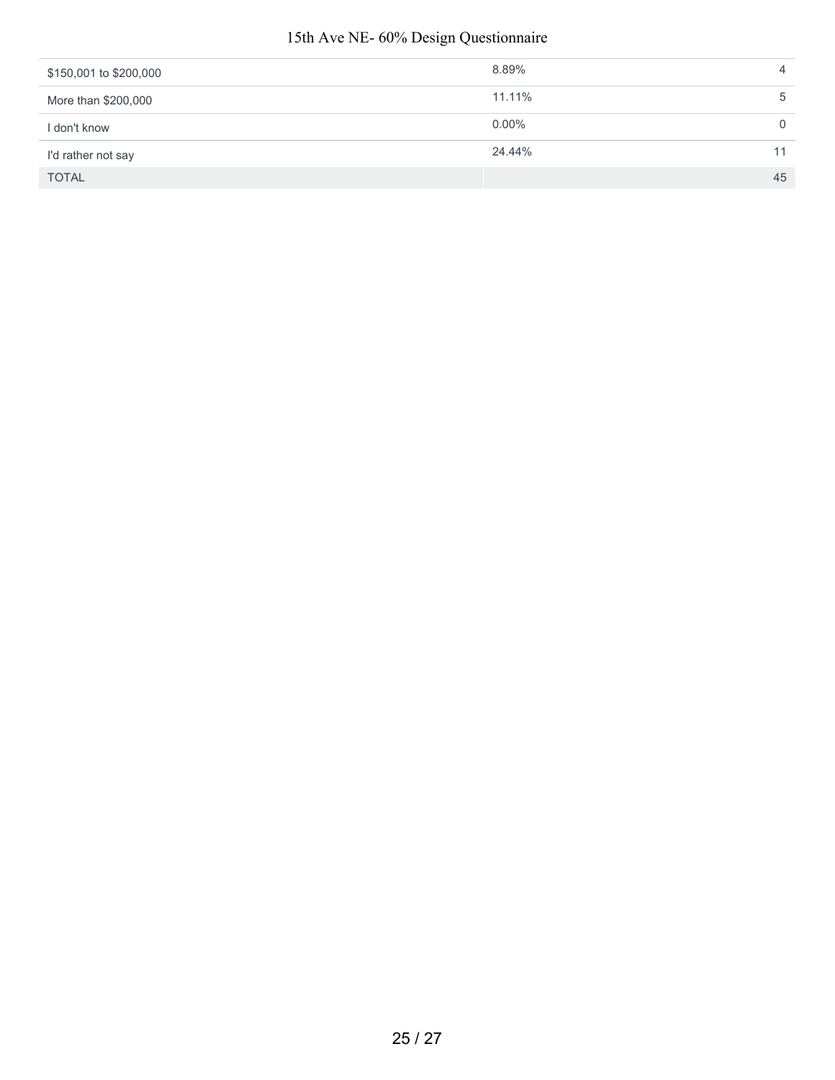#### 15th Ave NE- 60% Design Questionnaire

| \$150,001 to \$200,000 | 8.89%    |    |
|------------------------|----------|----|
| More than \$200,000    | 11.11%   | b  |
| I don't know           | $0.00\%$ |    |
| I'd rather not say     | 24.44%   |    |
| <b>TOTAL</b>           |          | 45 |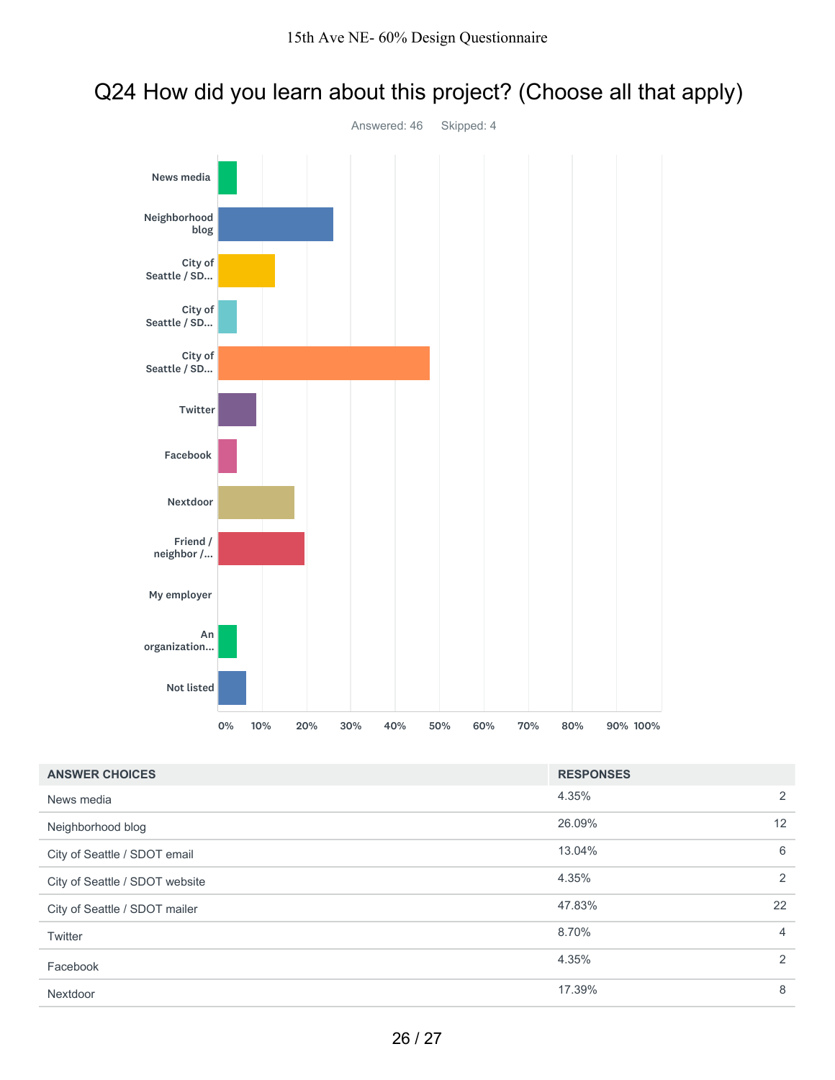

#### Q24 How did you learn about this project? (Choose all that apply)

| <b>ANSWER CHOICES</b>          | <b>RESPONSES</b> |                |
|--------------------------------|------------------|----------------|
| News media                     | 4.35%            | 2              |
| Neighborhood blog              | 26.09%           | 12             |
| City of Seattle / SDOT email   | 13.04%           | 6              |
| City of Seattle / SDOT website | 4.35%            | 2              |
| City of Seattle / SDOT mailer  | 47.83%           | 22             |
| Twitter                        | 8.70%            | $\overline{4}$ |
| Facebook                       | 4.35%            | 2              |
| Nextdoor                       | 17.39%           | 8              |